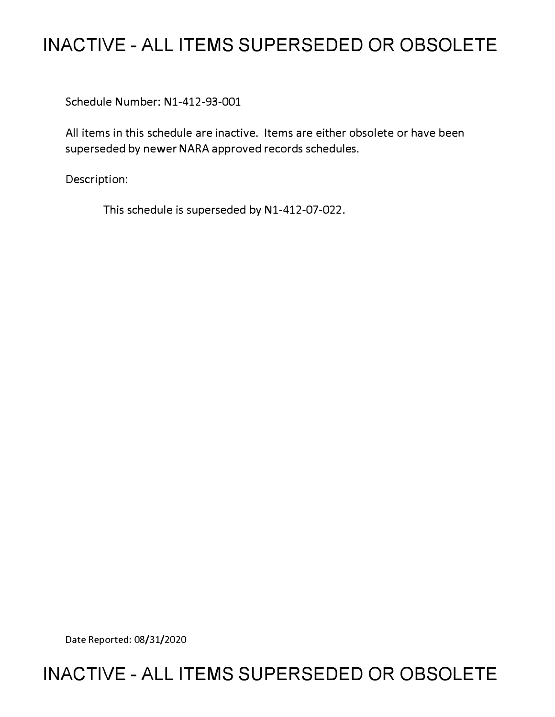## **INACTIVE - ALL ITEMS SUPERSEDED OR OBSOLETE**

Schedule Number: Nl-412-93-001

All items in this schedule are inactive. Items are either obsolete or have been superseded by newer NARA approved records schedules.

Description:

This schedule is superseded by Nl-412-07-022.

Date Reported: 08/31/2020

# **INACTIVE - ALL ITEMS SUPERSEDED OR OBSOLETE**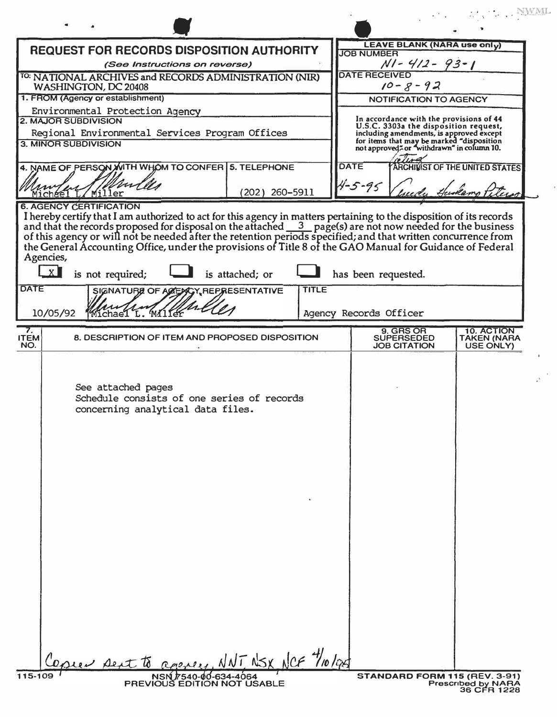| <b>REQUEST FOR RECORDS DISPOSITION AUTHORITY</b>                                                                                                                                                                                                                                                                                                                                                                                                     | <b>LEAVE BLANK (NARA use only)</b><br><b>JOB NUMBER</b>                                                                                                                   |  |  |  |
|------------------------------------------------------------------------------------------------------------------------------------------------------------------------------------------------------------------------------------------------------------------------------------------------------------------------------------------------------------------------------------------------------------------------------------------------------|---------------------------------------------------------------------------------------------------------------------------------------------------------------------------|--|--|--|
| (See Instructions on reverse)                                                                                                                                                                                                                                                                                                                                                                                                                        | $N - 4/2 - 93 - 1$                                                                                                                                                        |  |  |  |
| <sup>TO:</sup> NATIONAL ARCHIVES and RECORDS ADMINISTRATION (NIR)<br>WASHINGTON, DC 20408                                                                                                                                                                                                                                                                                                                                                            | <b>DATE RECEIVED</b><br>$10 - 8 - 92$                                                                                                                                     |  |  |  |
| 1. FROM (Agency or establishment)                                                                                                                                                                                                                                                                                                                                                                                                                    | NOTIFICATION TO AGENCY                                                                                                                                                    |  |  |  |
| Environmental Protection Agency<br><b>2. MAJOR SUBDIVISION</b><br>Regional Environmental Services Program Offices                                                                                                                                                                                                                                                                                                                                    | In accordance with the provisions of 44<br>U.S.C. 3303a the disposition request,<br>including amendments, is approved except<br>for items that may be marked "disposition |  |  |  |
| <b>3. MINOR SUBDIVISION</b>                                                                                                                                                                                                                                                                                                                                                                                                                          | not approved <sup>"</sup> or "withdrawn" in column 10.                                                                                                                    |  |  |  |
| 4. NAME OF PERSON WITH WHOM TO CONFER 5. TELEPHONE                                                                                                                                                                                                                                                                                                                                                                                                   | <b>DATE</b><br>ARCHIVIST OF THE UNITED STATES<br>$4 - 5 - 95$                                                                                                             |  |  |  |
| Michael L/Miller<br>(202) 260-5911<br><b>6. AGENCY CERTIFICATION</b>                                                                                                                                                                                                                                                                                                                                                                                 |                                                                                                                                                                           |  |  |  |
| I hereby certify that I am authorized to act for this agency in matters pertaining to the disposition of its records<br>and that the records proposed for disposal on the attached $\frac{3}{2}$ page(s) are not now needed for the<br>Agencies,<br>X<br>is not required;<br>is attached; or<br>has been requested.<br><b>DATE</b><br><b>TITLE</b><br>SIGNATURE OF ACENCY, REPRESENTATIVE<br>Michael L. Miller<br>10/05/92<br>Agency Records Officer |                                                                                                                                                                           |  |  |  |
| $\frac{7}{11}$<br>8. DESCRIPTION OF ITEM AND PROPOSED DISPOSITION                                                                                                                                                                                                                                                                                                                                                                                    | 9. GRS OR<br><b>10. ACTION</b>                                                                                                                                            |  |  |  |
| NO.                                                                                                                                                                                                                                                                                                                                                                                                                                                  | <b>SUPERSEDED</b><br><b>TAKEN (NARA</b><br><b>JOB CITATION</b><br>USE ONLY)                                                                                               |  |  |  |
| See attached pages<br>Schedule consists of one series of records<br>concerning analytical data files.                                                                                                                                                                                                                                                                                                                                                |                                                                                                                                                                           |  |  |  |
| equer sent to apprey, NNT NSX NCF 1/10/08<br>115-109<br>NSN 7540-00-634-4064<br>PREVIOUS EDITION NOT USABLE                                                                                                                                                                                                                                                                                                                                          | STANDARD FORM 115 (REV. 3-91)                                                                                                                                             |  |  |  |
|                                                                                                                                                                                                                                                                                                                                                                                                                                                      | <b>Prescribed by NARA</b><br>36 CFR 1228                                                                                                                                  |  |  |  |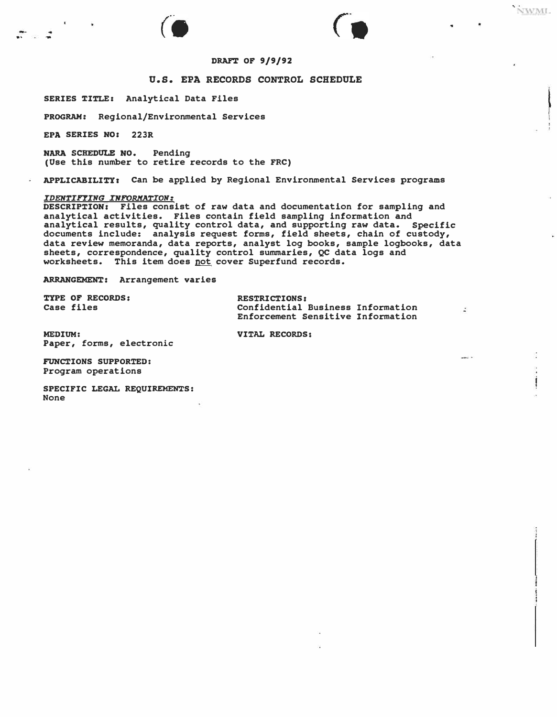### NWML

 $\mathcal{R}$ 

.<br>...



### DRAFT OF **9/9/92**

#### **U.S. EPA RECORDS CONTROL SCHEDULE**

**SERIES** TITLE: Analytical Data Files

**PROGRAM:** Regional/Environmental Services

**EPA SERIES NO: 223R** 

.. ....

NARA SCHEDULE NO. Pending (Use this number to retire records to the FRC)

**APPLICABILITY,** Can be applied by Regional Environmental Services programs

### *IDENTIFYING INFORMATION:*

**DESCRIPTION:** Files consist of raw data and documentation for sampling and analytical activities. Files contain field sampling information and analytical results, quality control data, and supporting raw data. Specific documents include: analysis request forms, field sheets, chain of custody, data review memoranda, data reports, analyst log books, sample logbooks, data sheets, correspondence, quality control summaries, QC data logs and worksheets. This item does <u>not</u> cover Superfund records.

**ARRANGEMENT:** Arrangement **varies** 

**TYPE OF RECORDS: RESTRICTIONS:**<br> **Case files Confidential** 

Confidential Business Information Enforcement Sensitive Information

**MEDIUM: VITAL RECORDS: Paper,** forms, electronic

**FUNCTIONS SUPPORTED:**  Program operations

**SPECIFIC LEGAL REQUIREMENTS:** None